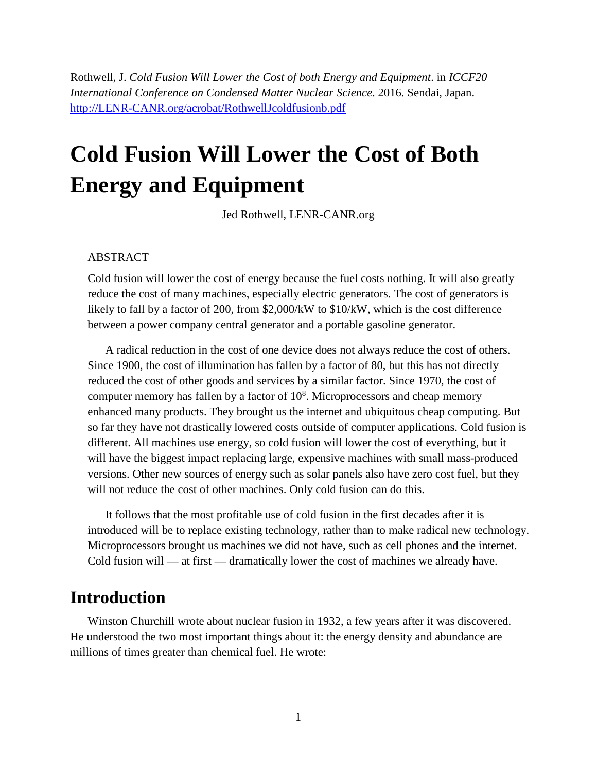Rothwell, J. *Cold Fusion Will Lower the Cost of both Energy and Equipment*. in *ICCF20 International Conference on Condensed Matter Nuclear Science*. 2016. Sendai, Japan. [http://LENR-CANR.org/acrobat/RothwellJcoldfusionb.pdf](http://lenr-canr.org/acrobat/RothwellJcoldfusionb.pdf)

# **Cold Fusion Will Lower the Cost of Both Energy and Equipment**

Jed Rothwell, LENR-CANR.org

#### ABSTRACT

Cold fusion will lower the cost of energy because the fuel costs nothing. It will also greatly reduce the cost of many machines, especially electric generators. The cost of generators is likely to fall by a factor of 200, from \$2,000/kW to \$10/kW, which is the cost difference between a power company central generator and a portable gasoline generator.

A radical reduction in the cost of one device does not always reduce the cost of others. Since 1900, the cost of illumination has fallen by a factor of 80, but this has not directly reduced the cost of other goods and services by a similar factor. Since 1970, the cost of computer memory has fallen by a factor of  $10<sup>8</sup>$ . Microprocessors and cheap memory enhanced many products. They brought us the internet and ubiquitous cheap computing. But so far they have not drastically lowered costs outside of computer applications. Cold fusion is different. All machines use energy, so cold fusion will lower the cost of everything, but it will have the biggest impact replacing large, expensive machines with small mass-produced versions. Other new sources of energy such as solar panels also have zero cost fuel, but they will not reduce the cost of other machines. Only cold fusion can do this.

It follows that the most profitable use of cold fusion in the first decades after it is introduced will be to replace existing technology, rather than to make radical new technology. Microprocessors brought us machines we did not have, such as cell phones and the internet. Cold fusion will — at first — dramatically lower the cost of machines we already have.

### **Introduction**

Winston Churchill wrote about nuclear fusion in 1932, a few years after it was discovered. He understood the two most important things about it: the energy density and abundance are millions of times greater than chemical fuel. He wrote: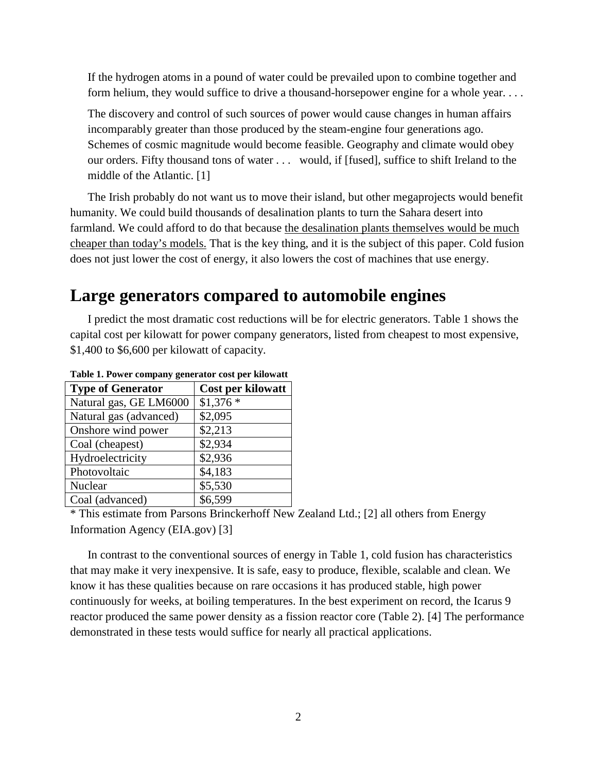If the hydrogen atoms in a pound of water could be prevailed upon to combine together and form helium, they would suffice to drive a thousand-horsepower engine for a whole year. . . .

The discovery and control of such sources of power would cause changes in human affairs incomparably greater than those produced by the steam-engine four generations ago. Schemes of cosmic magnitude would become feasible. Geography and climate would obey our orders. Fifty thousand tons of water . . . would, if [fused], suffice to shift Ireland to the middle of the Atlantic. [[1\]](#page-11-0)

The Irish probably do not want us to move their island, but other megaprojects would benefit humanity. We could build thousands of desalination plants to turn the Sahara desert into farmland. We could afford to do that because the desalination plants themselves would be much cheaper than today's models. That is the key thing, and it is the subject of this paper. Cold fusion does not just lower the cost of energy, it also lowers the cost of machines that use energy.

#### **Large generators compared to automobile engines**

I predict the most dramatic cost reductions will be for electric generators. Table 1 shows the capital cost per kilowatt for power company generators, listed from cheapest to most expensive, \$1,400 to \$6,600 per kilowatt of capacity.

| <b>Type of Generator</b> | Cost per kilowatt |
|--------------------------|-------------------|
| Natural gas, GE LM6000   | $$1,376*$         |
| Natural gas (advanced)   | \$2,095           |
| Onshore wind power       | \$2,213           |
| Coal (cheapest)          | \$2,934           |
| Hydroelectricity         | \$2,936           |
| Photovoltaic             | \$4,183           |
| Nuclear                  | \$5,530           |
| Coal (advanced)          | \$6,599           |

**Table 1. Power company generator cost per kilowatt** 

\* This estimate from Parsons Brinckerhoff New Zealand Ltd.; [\[2](#page-11-1)] all others from Energy Information Agency (EIA.gov) [[3\]](#page-11-2)

In contrast to the conventional sources of energy in Table 1, cold fusion has characteristics that may make it very inexpensive. It is safe, easy to produce, flexible, scalable and clean. We know it has these qualities because on rare occasions it has produced stable, high power continuously for weeks, at boiling temperatures. In the best experiment on record, the Icarus 9 reactor produced the same power density as a fission reactor core (Table 2). [[4\]](#page-11-3) The performance demonstrated in these tests would suffice for nearly all practical applications.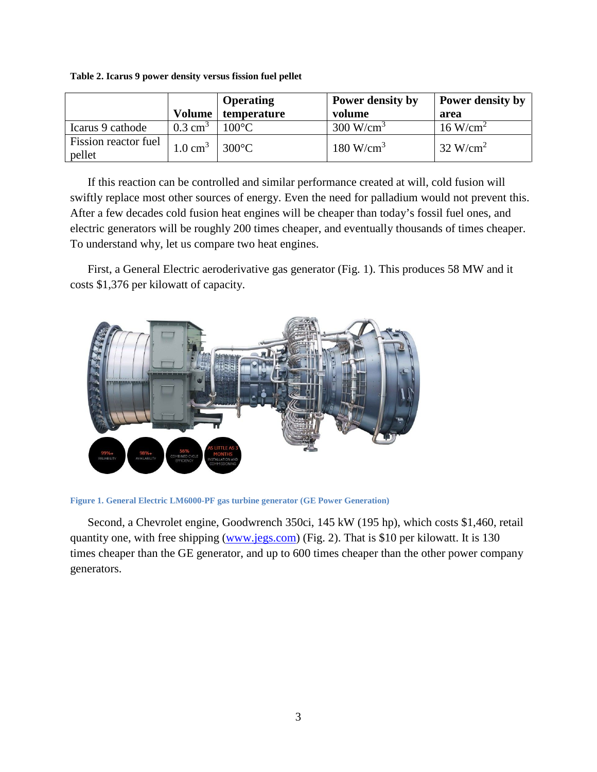| Table 2. Icarus 9 power density versus fission fuel pellet |  |  |  |
|------------------------------------------------------------|--|--|--|
|                                                            |  |  |  |

|                                |                       | <b>Operating</b> | Power density by        | Power density by       |
|--------------------------------|-----------------------|------------------|-------------------------|------------------------|
|                                | Volume                | temperature      | volume                  | area                   |
| Icarus 9 cathode               | $0.3$ cm <sup>3</sup> | $100^{\circ}$ C  | $300 \text{ W/cm}^3$    | $16$ W/cm <sup>2</sup> |
| Fission reactor fuel<br>pellet | $1.0 \text{ cm}^3$    | $300^{\circ}$ C  | $180$ W/cm <sup>3</sup> | $32 \text{ W/cm}^2$    |

If this reaction can be controlled and similar performance created at will, cold fusion will swiftly replace most other sources of energy. Even the need for palladium would not prevent this. After a few decades cold fusion heat engines will be cheaper than today's fossil fuel ones, and electric generators will be roughly 200 times cheaper, and eventually thousands of times cheaper. To understand why, let us compare two heat engines.

First, a General Electric aeroderivative gas generator (Fig. 1). This produces 58 MW and it costs \$1,376 per kilowatt of capacity.



**Figure 1. General Electric LM6000-PF gas turbine generator (GE Power Generation)** 

Second, a Chevrolet engine, Goodwrench 350ci, 145 kW (195 hp), which costs \$1,460, retail quantity one, with free shipping ([www.jegs.com\)](http://www.jegs.com/) (Fig. 2). That is \$10 per kilowatt. It is 130 times cheaper than the GE generator, and up to 600 times cheaper than the other power company generators.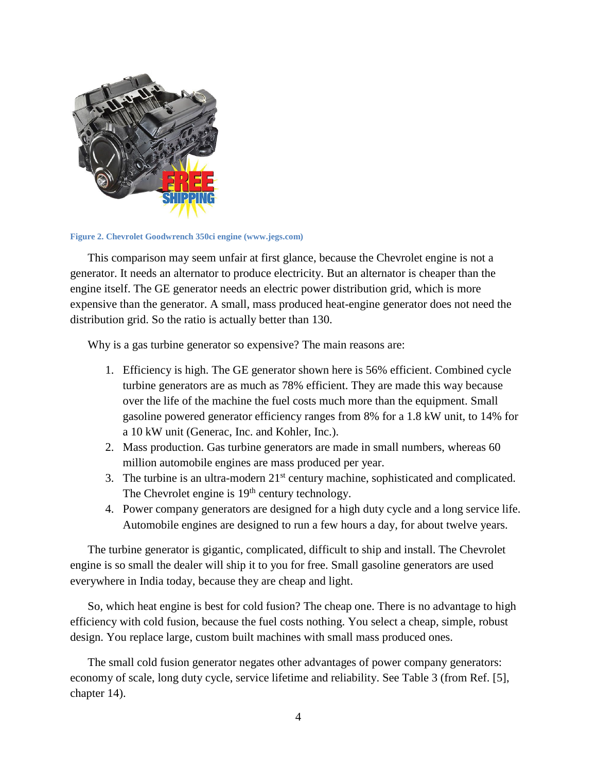

**Figure 2. Chevrolet Goodwrench 350ci engine (www.jegs.com)** 

This comparison may seem unfair at first glance, because the Chevrolet engine is not a generator. It needs an alternator to produce electricity. But an alternator is cheaper than the engine itself. The GE generator needs an electric power distribution grid, which is more expensive than the generator. A small, mass produced heat-engine generator does not need the distribution grid. So the ratio is actually better than 130.

Why is a gas turbine generator so expensive? The main reasons are:

- 1. Efficiency is high. The GE generator shown here is 56% efficient. Combined cycle turbine generators are as much as 78% efficient. They are made this way because over the life of the machine the fuel costs much more than the equipment. Small gasoline powered generator efficiency ranges from 8% for a 1.8 kW unit, to 14% for a 10 kW unit (Generac, Inc. and Kohler, Inc.).
- 2. Mass production. Gas turbine generators are made in small numbers, whereas 60 million automobile engines are mass produced per year.
- 3. The turbine is an ultra-modern  $21<sup>st</sup>$  century machine, sophisticated and complicated. The Chevrolet engine is  $19<sup>th</sup>$  century technology.
- 4. Power company generators are designed for a high duty cycle and a long service life. Automobile engines are designed to run a few hours a day, for about twelve years.

The turbine generator is gigantic, complicated, difficult to ship and install. The Chevrolet engine is so small the dealer will ship it to you for free. Small gasoline generators are used everywhere in India today, because they are cheap and light.

So, which heat engine is best for cold fusion? The cheap one. There is no advantage to high efficiency with cold fusion, because the fuel costs nothing. You select a cheap, simple, robust design. You replace large, custom built machines with small mass produced ones.

The small cold fusion generator negates other advantages of power company generators: economy of scale, long duty cycle, service lifetime and reliability. See Table 3 (from Ref. [[5\]](#page-11-4), chapter 14).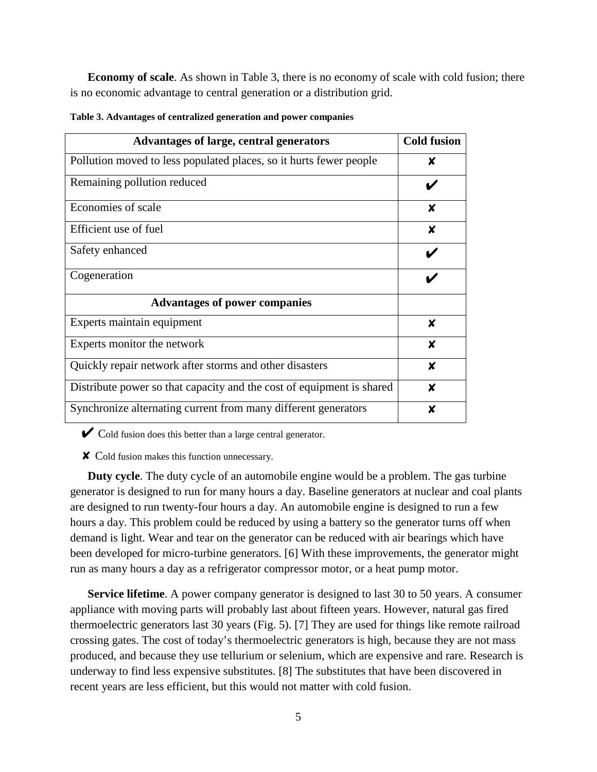**Economy of scale**. As shown in Table 3, there is no economy of scale with cold fusion; there is no economic advantage to central generation or a distribution grid.

| Advantages of large, central generators                               | <b>Cold fusion</b> |
|-----------------------------------------------------------------------|--------------------|
| Pollution moved to less populated places, so it hurts fewer people    | X                  |
| Remaining pollution reduced                                           |                    |
| Economies of scale                                                    | X                  |
| Efficient use of fuel                                                 | X                  |
| Safety enhanced                                                       |                    |
| Cogeneration                                                          |                    |
| <b>Advantages of power companies</b>                                  |                    |
| Experts maintain equipment                                            | X                  |
| Experts monitor the network                                           | $\boldsymbol{x}$   |
| Quickly repair network after storms and other disasters               | $\boldsymbol{x}$   |
| Distribute power so that capacity and the cost of equipment is shared | X                  |
| Synchronize alternating current from many different generators        | X                  |

**Table 3. Advantages of centralized generation and power companies** 

 $\triangleright$  Cold fusion does this better than a large central generator.

✘ Cold fusion makes this function unnecessary.

**Duty cycle**. The duty cycle of an automobile engine would be a problem. The gas turbine generator is designed to run for many hours a day. Baseline generators at nuclear and coal plants are designed to run twenty-four hours a day. An automobile engine is designed to run a few hours a day. This problem could be reduced by using a battery so the generator turns off when demand is light. Wear and tear on the generator can be reduced with air bearings which have been developed for micro-turbine generators. [[6\]](#page-11-5) With these improvements, the generator might run as many hours a day as a refrigerator compressor motor, or a heat pump motor.

**Service lifetime**. A power company generator is designed to last 30 to 50 years. A consumer appliance with moving parts will probably last about fifteen years. However, natural gas fired thermoelectric generators last 30 years (Fig. 5). [\[7](#page-11-6)] They are used for things like remote railroad crossing gates. The cost of today's thermoelectric generators is high, because they are not mass produced, and because they use tellurium or selenium, which are expensive and rare. Research is underway to find less expensive substitutes. [[8\]](#page-11-7) The substitutes that have been discovered in recent years are less efficient, but this would not matter with cold fusion.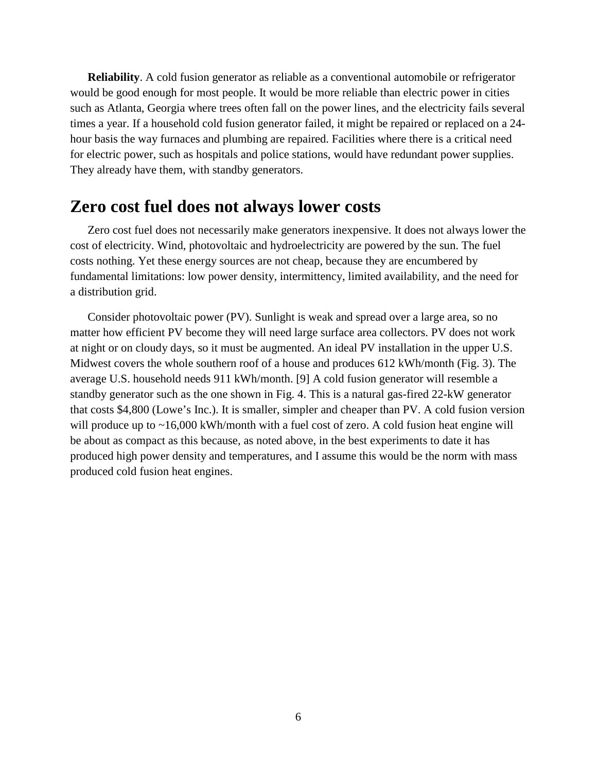**Reliability**. A cold fusion generator as reliable as a conventional automobile or refrigerator would be good enough for most people. It would be more reliable than electric power in cities such as Atlanta, Georgia where trees often fall on the power lines, and the electricity fails several times a year. If a household cold fusion generator failed, it might be repaired or replaced on a 24 hour basis the way furnaces and plumbing are repaired. Facilities where there is a critical need for electric power, such as hospitals and police stations, would have redundant power supplies. They already have them, with standby generators.

#### **Zero cost fuel does not always lower costs**

Zero cost fuel does not necessarily make generators inexpensive. It does not always lower the cost of electricity. Wind, photovoltaic and hydroelectricity are powered by the sun. The fuel costs nothing. Yet these energy sources are not cheap, because they are encumbered by fundamental limitations: low power density, intermittency, limited availability, and the need for a distribution grid.

Consider photovoltaic power (PV). Sunlight is weak and spread over a large area, so no matter how efficient PV become they will need large surface area collectors. PV does not work at night or on cloudy days, so it must be augmented. An ideal PV installation in the upper U.S. Midwest covers the whole southern roof of a house and produces 612 kWh/month (Fig. 3). The average U.S. household needs 911 kWh/month. [[9\]](#page-11-8) A cold fusion generator will resemble a standby generator such as the one shown in Fig. 4. This is a natural gas-fired 22-kW generator that costs \$4,800 (Lowe's Inc.). It is smaller, simpler and cheaper than PV. A cold fusion version will produce up to ~16,000 kWh/month with a fuel cost of zero. A cold fusion heat engine will be about as compact as this because, as noted above, in the best experiments to date it has produced high power density and temperatures, and I assume this would be the norm with mass produced cold fusion heat engines.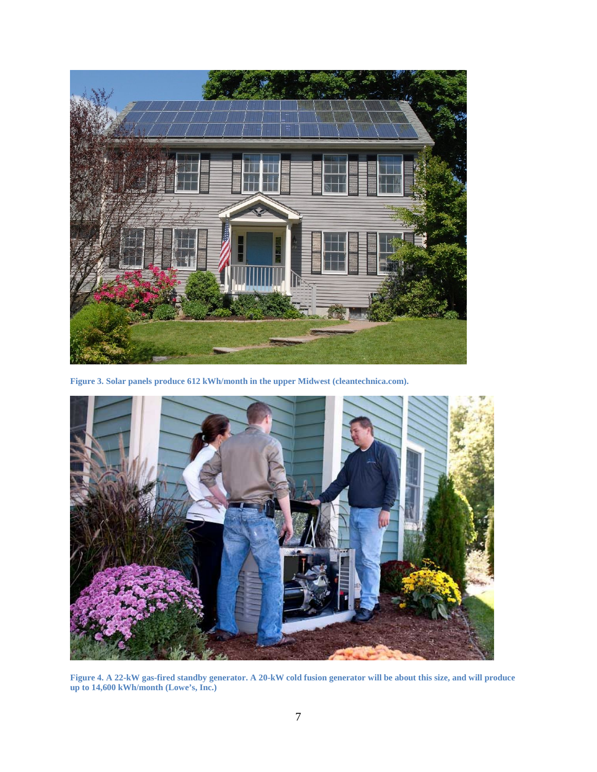

**Figure 3. Solar panels produce 612 kWh/month in the upper Midwest (cleantechnica.com).** 



**Figure 4. A 22-kW gas-fired standby generator. A 20-kW cold fusion generator will be about this size, and will produce up to 14,600 kWh/month (Lowe's, Inc.)**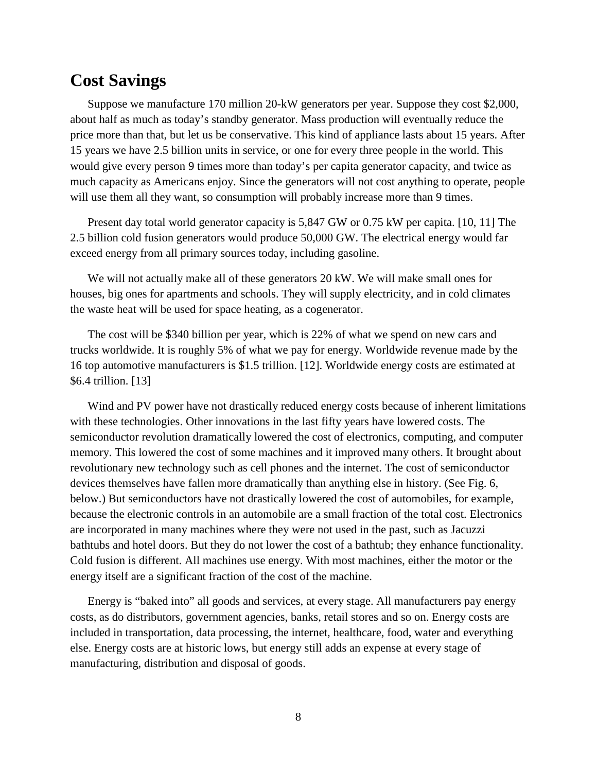#### **Cost Savings**

Suppose we manufacture 170 million 20-kW generators per year. Suppose they cost \$2,000, about half as much as today's standby generator. Mass production will eventually reduce the price more than that, but let us be conservative. This kind of appliance lasts about 15 years. After 15 years we have 2.5 billion units in service, or one for every three people in the world. This would give every person 9 times more than today's per capita generator capacity, and twice as much capacity as Americans enjoy. Since the generators will not cost anything to operate, people will use them all they want, so consumption will probably increase more than 9 times.

Present day total world generator capacity is 5,847 GW or 0.75 kW per capita. [[10,](#page-11-9) [11\]](#page-11-10) The 2.5 billion cold fusion generators would produce 50,000 GW. The electrical energy would far exceed energy from all primary sources today, including gasoline.

We will not actually make all of these generators 20 kW. We will make small ones for houses, big ones for apartments and schools. They will supply electricity, and in cold climates the waste heat will be used for space heating, as a cogenerator.

The cost will be \$340 billion per year, which is 22% of what we spend on new cars and trucks worldwide. It is roughly 5% of what we pay for energy. Worldwide revenue made by the 16 top automotive manufacturers is \$1.5 trillion. [[12\]](#page-11-11). Worldwide energy costs are estimated at \$6.4 trillion. [[13\]](#page-11-12)

Wind and PV power have not drastically reduced energy costs because of inherent limitations with these technologies. Other innovations in the last fifty years have lowered costs. The semiconductor revolution dramatically lowered the cost of electronics, computing, and computer memory. This lowered the cost of some machines and it improved many others. It brought about revolutionary new technology such as cell phones and the internet. The cost of semiconductor devices themselves have fallen more dramatically than anything else in history. (See Fig. 6, below.) But semiconductors have not drastically lowered the cost of automobiles, for example, because the electronic controls in an automobile are a small fraction of the total cost. Electronics are incorporated in many machines where they were not used in the past, such as Jacuzzi bathtubs and hotel doors. But they do not lower the cost of a bathtub; they enhance functionality. Cold fusion is different. All machines use energy. With most machines, either the motor or the energy itself are a significant fraction of the cost of the machine.

Energy is "baked into" all goods and services, at every stage. All manufacturers pay energy costs, as do distributors, government agencies, banks, retail stores and so on. Energy costs are included in transportation, data processing, the internet, healthcare, food, water and everything else. Energy costs are at historic lows, but energy still adds an expense at every stage of manufacturing, distribution and disposal of goods.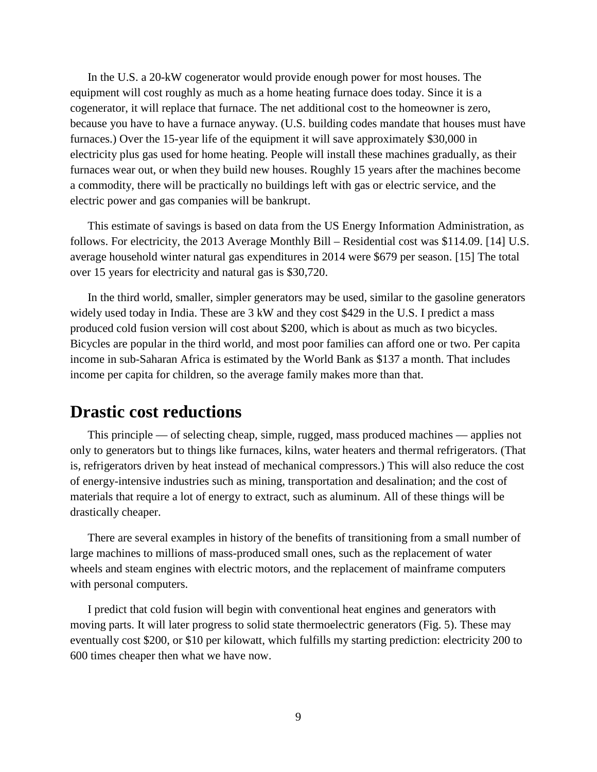In the U.S. a 20-kW cogenerator would provide enough power for most houses. The equipment will cost roughly as much as a home heating furnace does today. Since it is a cogenerator, it will replace that furnace. The net additional cost to the homeowner is zero, because you have to have a furnace anyway. (U.S. building codes mandate that houses must have furnaces.) Over the 15-year life of the equipment it will save approximately \$30,000 in electricity plus gas used for home heating. People will install these machines gradually, as their furnaces wear out, or when they build new houses. Roughly 15 years after the machines become a commodity, there will be practically no buildings left with gas or electric service, and the electric power and gas companies will be bankrupt.

This estimate of savings is based on data from the US Energy Information Administration, as follows. For electricity, the 2013 Average Monthly Bill – Residential cost was \$114.09. [\[14](#page-11-13)] U.S. average household winter natural gas expenditures in 2014 were \$679 per season. [[15\]](#page-11-14) The total over 15 years for electricity and natural gas is \$30,720.

In the third world, smaller, simpler generators may be used, similar to the gasoline generators widely used today in India. These are 3 kW and they cost \$429 in the U.S. I predict a mass produced cold fusion version will cost about \$200, which is about as much as two bicycles. Bicycles are popular in the third world, and most poor families can afford one or two. Per capita income in sub-Saharan Africa is estimated by the World Bank as \$137 a month. That includes income per capita for children, so the average family makes more than that.

#### **Drastic cost reductions**

This principle — of selecting cheap, simple, rugged, mass produced machines — applies not only to generators but to things like furnaces, kilns, water heaters and thermal refrigerators. (That is, refrigerators driven by heat instead of mechanical compressors.) This will also reduce the cost of energy-intensive industries such as mining, transportation and desalination; and the cost of materials that require a lot of energy to extract, such as aluminum. All of these things will be drastically cheaper.

There are several examples in history of the benefits of transitioning from a small number of large machines to millions of mass-produced small ones, such as the replacement of water wheels and steam engines with electric motors, and the replacement of mainframe computers with personal computers.

I predict that cold fusion will begin with conventional heat engines and generators with moving parts. It will later progress to solid state thermoelectric generators (Fig. 5). These may eventually cost \$200, or \$10 per kilowatt, which fulfills my starting prediction: electricity 200 to 600 times cheaper then what we have now.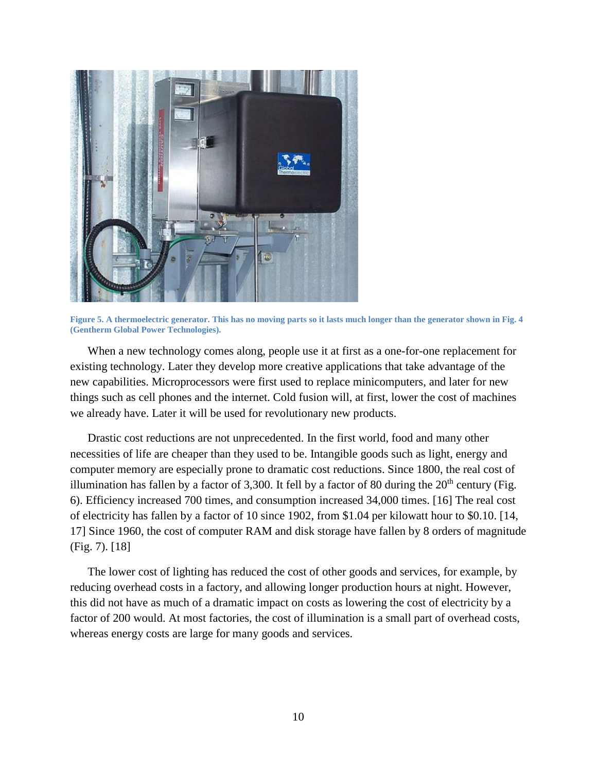

**Figure 5. A thermoelectric generator. This has no moving parts so it lasts much longer than the generator shown in Fig. 4 (Gentherm Global Power Technologies).** 

When a new technology comes along, people use it at first as a one-for-one replacement for existing technology. Later they develop more creative applications that take advantage of the new capabilities. Microprocessors were first used to replace minicomputers, and later for new things such as cell phones and the internet. Cold fusion will, at first, lower the cost of machines we already have. Later it will be used for revolutionary new products.

Drastic cost reductions are not unprecedented. In the first world, food and many other necessities of life are cheaper than they used to be. Intangible goods such as light, energy and computer memory are especially prone to dramatic cost reductions. Since 1800, the real cost of illumination has fallen by a factor of 3,300. It fell by a factor of 80 during the  $20<sup>th</sup>$  century (Fig. 6). Efficiency increased 700 times, and consumption increased 34,000 times. [[16](#page-11-15)] The real cost of electricity has fallen by a factor of 10 since 1902, from \$1.04 per kilowatt hour to \$0.10. [[14,](#page-11-13) [17](#page-11-16)] Since 1960, the cost of computer RAM and disk storage have fallen by 8 orders of magnitude (Fig. 7). [[18\]](#page-11-17)

The lower cost of lighting has reduced the cost of other goods and services, for example, by reducing overhead costs in a factory, and allowing longer production hours at night. However, this did not have as much of a dramatic impact on costs as lowering the cost of electricity by a factor of 200 would. At most factories, the cost of illumination is a small part of overhead costs, whereas energy costs are large for many goods and services.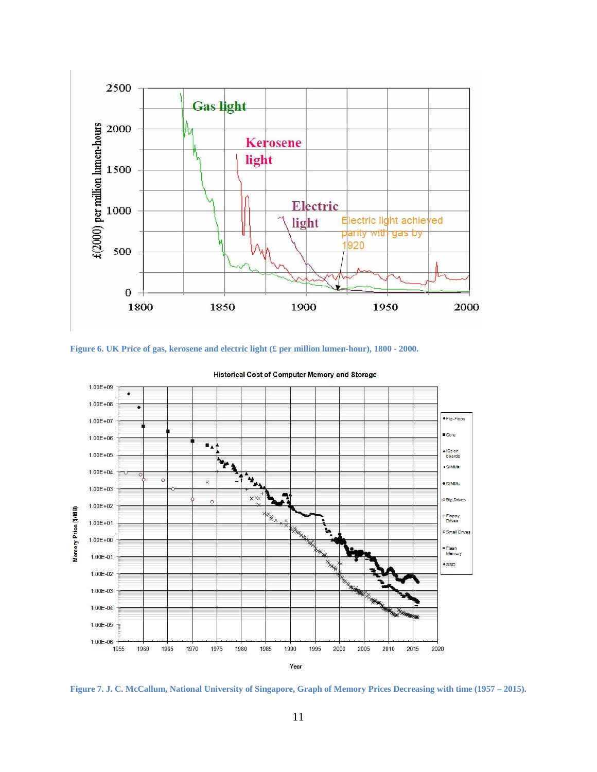





**Historical Cost of Computer Memory and Storage** 

**Figure 7. J. C. McCallum, National University of Singapore, Graph of Memory Prices Decreasing with time (1957 – 2015).**